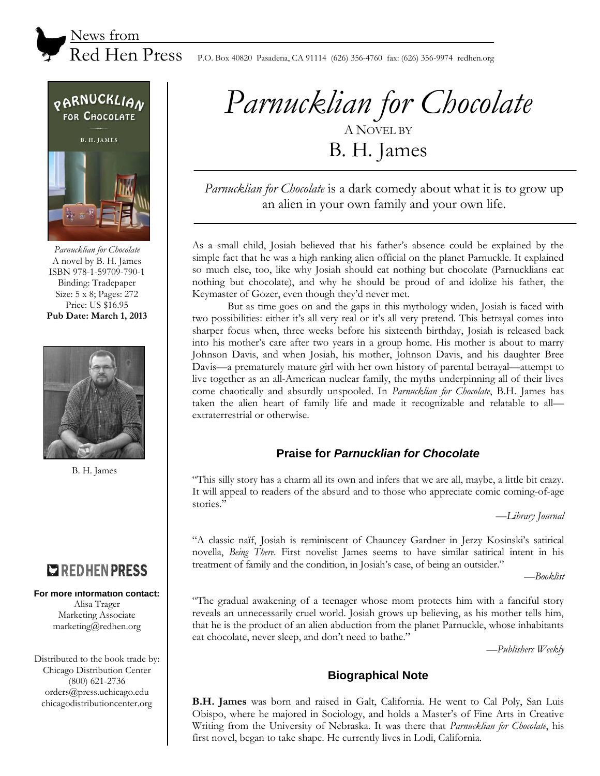



*Parnucklian for Chocolate* A novel by B. H. James ISBN 978-1-59709-790-1 Binding: Tradepaper Size: 5 x 8; Pages: 272 Price: US \$16.95 **Pub Date: March 1, 2013**



B. H. James

# **COREDHENPRESS**

#### **For more information contact:**

Alisa Trager Marketing Associate marketing@redhen.org

Distributed to the book trade by: Chicago Distribution Center (800) 621-2736 orders@press.uchicago.edu chicagodistributioncenter.org

# *Parnucklian for Chocolate* A NOVEL BY B. H. James

*Parnucklian for Chocolate* is a dark comedy about what it is to grow up an alien in your own family and your own life.

As a small child, Josiah believed that his father's absence could be explained by the simple fact that he was a high ranking alien official on the planet Parnuckle. It explained so much else, too, like why Josiah should eat nothing but chocolate (Parnucklians eat nothing but chocolate), and why he should be proud of and idolize his father, the Keymaster of Gozer, even though they'd never met.

But as time goes on and the gaps in this mythology widen, Josiah is faced with two possibilities: either it's all very real or it's all very pretend. This betrayal comes into sharper focus when, three weeks before his sixteenth birthday, Josiah is released back into his mother's care after two years in a group home. His mother is about to marry Johnson Davis, and when Josiah, his mother, Johnson Davis, and his daughter Bree Davis—a prematurely mature girl with her own history of parental betrayal—attempt to live together as an all-American nuclear family, the myths underpinning all of their lives come chaotically and absurdly unspooled. In *Parnucklian for Chocolate*, B.H. James has taken the alien heart of family life and made it recognizable and relatable to all extraterrestrial or otherwise.

#### **Praise for** *Parnucklian for Chocolate*

"This silly story has a charm all its own and infers that we are all, maybe, a little bit crazy. It will appeal to readers of the absurd and to those who appreciate comic coming-of-age stories."

—*Library Journal*

"A classic naïf, Josiah is reminiscent of Chauncey Gardner in Jerzy Kosinski's satirical novella, *Being There*. First novelist James seems to have similar satirical intent in his treatment of family and the condition, in Josiah's case, of being an outsider."

—*Booklist*

"The gradual awakening of a teenager whose mom protects him with a fanciful story reveals an unnecessarily cruel world. Josiah grows up believing, as his mother tells him, that he is the product of an alien abduction from the planet Parnuckle, whose inhabitants eat chocolate, never sleep, and don't need to bathe."

—*Publishers Weekly*

## **Biographical Note**

**B.H. James** was born and raised in Galt, California. He went to Cal Poly, San Luis Obispo, where he majored in Sociology, and holds a Master's of Fine Arts in Creative Writing from the University of Nebraska. It was there that *Parnucklian for Chocolate*, his first novel, began to take shape. He currently lives in Lodi, California.